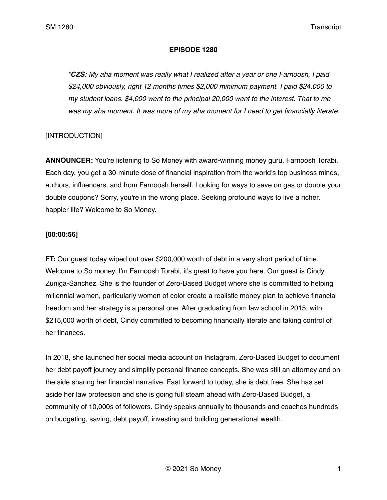#### **EPISODE 1280**

*"CZS: My aha moment was really what I realized after a year or one Farnoosh, I paid \$24,000 obviously, right 12 months times \$2,000 minimum payment. I paid \$24,000 to my student loans. \$4,000 went to the principal 20,000 went to the interest. That to me was my aha moment. It was more of my aha moment for I need to get financially literate.* 

# [INTRODUCTION]

**ANNOUNCER:** You're listening to So Money with award-winning money guru, Farnoosh Torabi. Each day, you get a 30-minute dose of financial inspiration from the world's top business minds, authors, influencers, and from Farnoosh herself. Looking for ways to save on gas or double your double coupons? Sorry, you're in the wrong place. Seeking profound ways to live a richer, happier life? Welcome to So Money.

## **[00:00:56]**

**FT:** Our guest today wiped out over \$200,000 worth of debt in a very short period of time. Welcome to So money. I'm Farnoosh Torabi, it's great to have you here. Our guest is Cindy Zuniga-Sanchez. She is the founder of Zero-Based Budget where she is committed to helping millennial women, particularly women of color create a realistic money plan to achieve financial freedom and her strategy is a personal one. After graduating from law school in 2015, with \$215,000 worth of debt, Cindy committed to becoming financially literate and taking control of her finances.

In 2018, she launched her social media account on Instagram, Zero-Based Budget to document her debt payoff journey and simplify personal finance concepts. She was still an attorney and on the side sharing her financial narrative. Fast forward to today, she is debt free. She has set aside her law profession and she is going full steam ahead with Zero-Based Budget, a community of 10,000s of followers. Cindy speaks annually to thousands and coaches hundreds on budgeting, saving, debt payoff, investing and building generational wealth.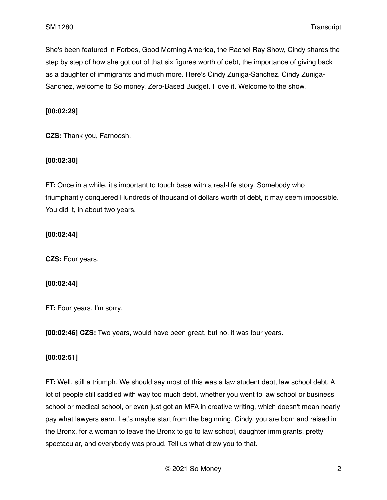She's been featured in Forbes, Good Morning America, the Rachel Ray Show, Cindy shares the step by step of how she got out of that six figures worth of debt, the importance of giving back as a daughter of immigrants and much more. Here's Cindy Zuniga-Sanchez. Cindy Zuniga-Sanchez, welcome to So money. Zero-Based Budget. I love it. Welcome to the show.

## **[00:02:29]**

**CZS:** Thank you, Farnoosh.

### **[00:02:30]**

**FT:** Once in a while, it's important to touch base with a real-life story. Somebody who triumphantly conquered Hundreds of thousand of dollars worth of debt, it may seem impossible. You did it, in about two years.

### **[00:02:44]**

**CZS:** Four years.

### **[00:02:44]**

**FT:** Four years. I'm sorry.

**[00:02:46] CZS:** Two years, would have been great, but no, it was four years.

### **[00:02:51]**

**FT:** Well, still a triumph. We should say most of this was a law student debt, law school debt. A lot of people still saddled with way too much debt, whether you went to law school or business school or medical school, or even just got an MFA in creative writing, which doesn't mean nearly pay what lawyers earn. Let's maybe start from the beginning. Cindy, you are born and raised in the Bronx, for a woman to leave the Bronx to go to law school, daughter immigrants, pretty spectacular, and everybody was proud. Tell us what drew you to that.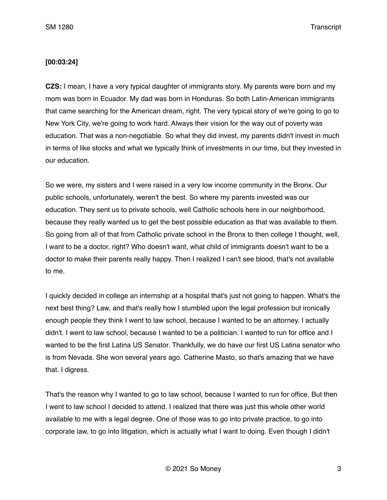#### **[00:03:24]**

**CZS:** I mean, I have a very typical daughter of immigrants story. My parents were born and my mom was born in Ecuador. My dad was born in Honduras. So both Latin-American immigrants that came searching for the American dream, right. The very typical story of we're going to go to New York City, we're going to work hard. Always their vision for the way out of poverty was education. That was a non-negotiable. So what they did invest, my parents didn't invest in much in terms of like stocks and what we typically think of investments in our time, but they invested in our education.

So we were, my sisters and I were raised in a very low income community in the Bronx. Our public schools, unfortunately, weren't the best. So where my parents invested was our education. They sent us to private schools, well Catholic schools here in our neighborhood, because they really wanted us to get the best possible education as that was available to them. So going from all of that from Catholic private school in the Bronx to then college I thought, well, I want to be a doctor, right? Who doesn't want, what child of immigrants doesn't want to be a doctor to make their parents really happy. Then I realized I can't see blood, that's not available to me.

I quickly decided in college an internship at a hospital that's just not going to happen. What's the next best thing? Law, and that's really how I stumbled upon the legal profession but ironically enough people they think I went to law school, because I wanted to be an attorney. I actually didn't. I went to law school, because I wanted to be a politician. I wanted to run for office and I wanted to be the first Latina US Senator. Thankfully, we do have our first US Latina senator who is from Nevada. She won several years ago. Catherine Masto, so that's amazing that we have that. I digress.

That's the reason why I wanted to go to law school, because I wanted to run for office. But then I went to law school I decided to attend. I realized that there was just this whole other world available to me with a legal degree. One of those was to go into private practice, to go into corporate law, to go into litigation, which is actually what I want to doing. Even though I didn't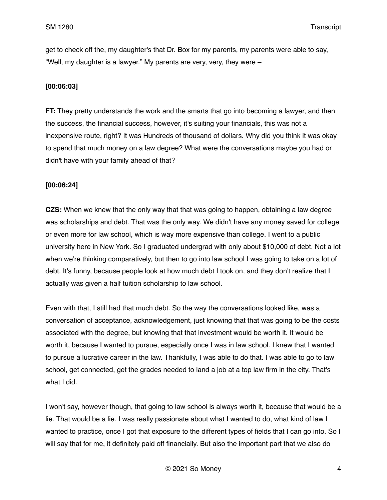get to check off the, my daughter's that Dr. Box for my parents, my parents were able to say, "Well, my daughter is a lawyer." My parents are very, very, they were –

# **[00:06:03]**

**FT:** They pretty understands the work and the smarts that go into becoming a lawyer, and then the success, the financial success, however, it's suiting your financials, this was not a inexpensive route, right? It was Hundreds of thousand of dollars. Why did you think it was okay to spend that much money on a law degree? What were the conversations maybe you had or didn't have with your family ahead of that?

## **[00:06:24]**

**CZS:** When we knew that the only way that that was going to happen, obtaining a law degree was scholarships and debt. That was the only way. We didn't have any money saved for college or even more for law school, which is way more expensive than college. I went to a public university here in New York. So I graduated undergrad with only about \$10,000 of debt. Not a lot when we're thinking comparatively, but then to go into law school I was going to take on a lot of debt. It's funny, because people look at how much debt I took on, and they don't realize that I actually was given a half tuition scholarship to law school.

Even with that, I still had that much debt. So the way the conversations looked like, was a conversation of acceptance, acknowledgement, just knowing that that was going to be the costs associated with the degree, but knowing that that investment would be worth it. It would be worth it, because I wanted to pursue, especially once I was in law school. I knew that I wanted to pursue a lucrative career in the law. Thankfully, I was able to do that. I was able to go to law school, get connected, get the grades needed to land a job at a top law firm in the city. That's what I did.

I won't say, however though, that going to law school is always worth it, because that would be a lie. That would be a lie. I was really passionate about what I wanted to do, what kind of law I wanted to practice, once I got that exposure to the different types of fields that I can go into. So I will say that for me, it definitely paid off financially. But also the important part that we also do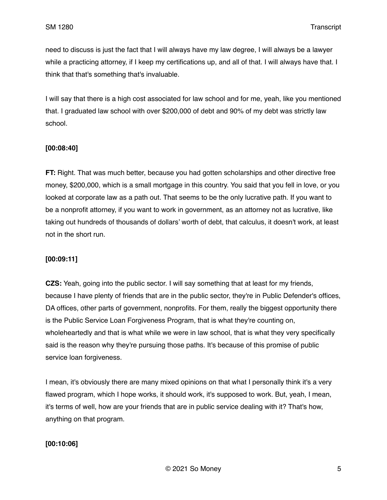need to discuss is just the fact that I will always have my law degree, I will always be a lawyer while a practicing attorney, if I keep my certifications up, and all of that. I will always have that. I think that that's something that's invaluable.

I will say that there is a high cost associated for law school and for me, yeah, like you mentioned that. I graduated law school with over \$200,000 of debt and 90% of my debt was strictly law school.

# **[00:08:40]**

**FT:** Right. That was much better, because you had gotten scholarships and other directive free money, \$200,000, which is a small mortgage in this country. You said that you fell in love, or you looked at corporate law as a path out. That seems to be the only lucrative path. If you want to be a nonprofit attorney, if you want to work in government, as an attorney not as lucrative, like taking out hundreds of thousands of dollars' worth of debt, that calculus, it doesn't work, at least not in the short run.

# **[00:09:11]**

**CZS:** Yeah, going into the public sector. I will say something that at least for my friends, because I have plenty of friends that are in the public sector, they're in Public Defender's offices, DA offices, other parts of government, nonprofits. For them, really the biggest opportunity there is the Public Service Loan Forgiveness Program, that is what they're counting on, wholeheartedly and that is what while we were in law school, that is what they very specifically said is the reason why they're pursuing those paths. It's because of this promise of public service loan forgiveness.

I mean, it's obviously there are many mixed opinions on that what I personally think it's a very flawed program, which I hope works, it should work, it's supposed to work. But, yeah, I mean, it's terms of well, how are your friends that are in public service dealing with it? That's how, anything on that program.

# **[00:10:06]**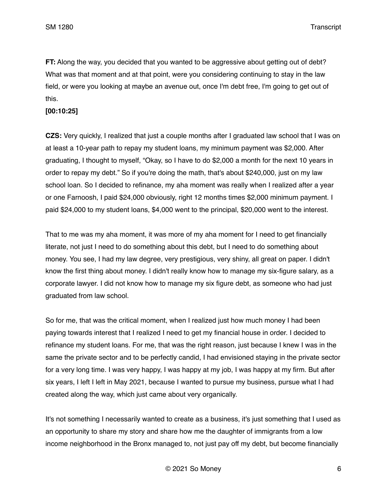**FT:** Along the way, you decided that you wanted to be aggressive about getting out of debt? What was that moment and at that point, were you considering continuing to stay in the law field, or were you looking at maybe an avenue out, once I'm debt free, I'm going to get out of this.

## **[00:10:25]**

**CZS:** Very quickly, I realized that just a couple months after I graduated law school that I was on at least a 10-year path to repay my student loans, my minimum payment was \$2,000. After graduating, I thought to myself, "Okay, so I have to do \$2,000 a month for the next 10 years in order to repay my debt." So if you're doing the math, that's about \$240,000, just on my law school loan. So I decided to refinance, my aha moment was really when I realized after a year or one Farnoosh, I paid \$24,000 obviously, right 12 months times \$2,000 minimum payment. I paid \$24,000 to my student loans, \$4,000 went to the principal, \$20,000 went to the interest.

That to me was my aha moment, it was more of my aha moment for I need to get financially literate, not just I need to do something about this debt, but I need to do something about money. You see, I had my law degree, very prestigious, very shiny, all great on paper. I didn't know the first thing about money. I didn't really know how to manage my six-figure salary, as a corporate lawyer. I did not know how to manage my six figure debt, as someone who had just graduated from law school.

So for me, that was the critical moment, when I realized just how much money I had been paying towards interest that I realized I need to get my financial house in order. I decided to refinance my student loans. For me, that was the right reason, just because I knew I was in the same the private sector and to be perfectly candid, I had envisioned staying in the private sector for a very long time. I was very happy, I was happy at my job, I was happy at my firm. But after six years, I left I left in May 2021, because I wanted to pursue my business, pursue what I had created along the way, which just came about very organically.

It's not something I necessarily wanted to create as a business, it's just something that I used as an opportunity to share my story and share how me the daughter of immigrants from a low income neighborhood in the Bronx managed to, not just pay off my debt, but become financially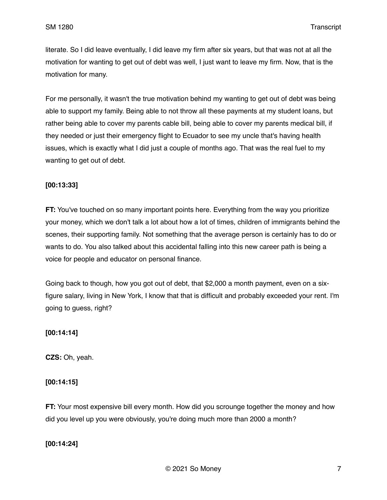literate. So I did leave eventually, I did leave my firm after six years, but that was not at all the motivation for wanting to get out of debt was well, I just want to leave my firm. Now, that is the motivation for many.

For me personally, it wasn't the true motivation behind my wanting to get out of debt was being able to support my family. Being able to not throw all these payments at my student loans, but rather being able to cover my parents cable bill, being able to cover my parents medical bill, if they needed or just their emergency flight to Ecuador to see my uncle that's having health issues, which is exactly what I did just a couple of months ago. That was the real fuel to my wanting to get out of debt.

### **[00:13:33]**

**FT:** You've touched on so many important points here. Everything from the way you prioritize your money, which we don't talk a lot about how a lot of times, children of immigrants behind the scenes, their supporting family. Not something that the average person is certainly has to do or wants to do. You also talked about this accidental falling into this new career path is being a voice for people and educator on personal finance.

Going back to though, how you got out of debt, that \$2,000 a month payment, even on a sixfigure salary, living in New York, I know that that is difficult and probably exceeded your rent. I'm going to guess, right?

### **[00:14:14]**

**CZS:** Oh, yeah.

### **[00:14:15]**

**FT:** Your most expensive bill every month. How did you scrounge together the money and how did you level up you were obviously, you're doing much more than 2000 a month?

### **[00:14:24]**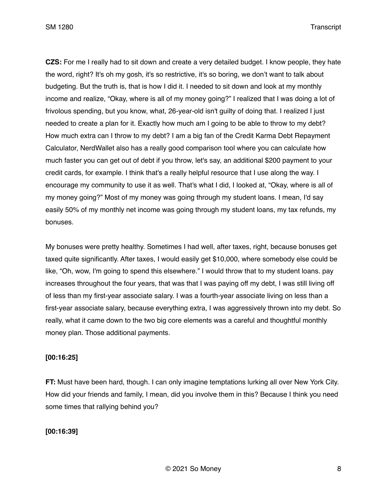**CZS:** For me I really had to sit down and create a very detailed budget. I know people, they hate the word, right? It's oh my gosh, it's so restrictive, it's so boring, we don't want to talk about budgeting. But the truth is, that is how I did it. I needed to sit down and look at my monthly income and realize, "Okay, where is all of my money going?" I realized that I was doing a lot of frivolous spending, but you know, what, 26-year-old isn't guilty of doing that. I realized I just needed to create a plan for it. Exactly how much am I going to be able to throw to my debt? How much extra can I throw to my debt? I am a big fan of the Credit Karma Debt Repayment Calculator, NerdWallet also has a really good comparison tool where you can calculate how much faster you can get out of debt if you throw, let's say, an additional \$200 payment to your credit cards, for example. I think that's a really helpful resource that I use along the way. I encourage my community to use it as well. That's what I did, I looked at, "Okay, where is all of my money going?" Most of my money was going through my student loans. I mean, I'd say easily 50% of my monthly net income was going through my student loans, my tax refunds, my bonuses.

My bonuses were pretty healthy. Sometimes I had well, after taxes, right, because bonuses get taxed quite significantly. After taxes, I would easily get \$10,000, where somebody else could be like, "Oh, wow, I'm going to spend this elsewhere." I would throw that to my student loans. pay increases throughout the four years, that was that I was paying off my debt, I was still living off of less than my first-year associate salary. I was a fourth-year associate living on less than a first-year associate salary, because everything extra, I was aggressively thrown into my debt. So really, what it came down to the two big core elements was a careful and thoughtful monthly money plan. Those additional payments.

#### **[00:16:25]**

**FT:** Must have been hard, though. I can only imagine temptations lurking all over New York City. How did your friends and family, I mean, did you involve them in this? Because I think you need some times that rallying behind you?

### **[00:16:39]**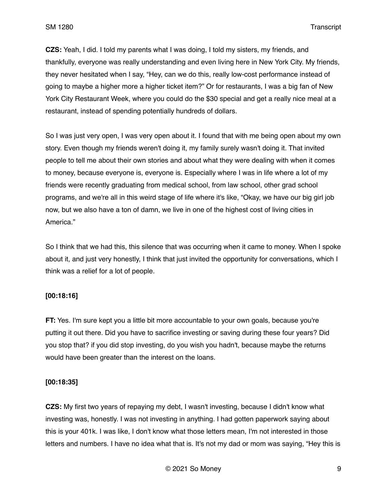**CZS:** Yeah, I did. I told my parents what I was doing, I told my sisters, my friends, and thankfully, everyone was really understanding and even living here in New York City. My friends, they never hesitated when I say, "Hey, can we do this, really low-cost performance instead of going to maybe a higher more a higher ticket item?" Or for restaurants, I was a big fan of New York City Restaurant Week, where you could do the \$30 special and get a really nice meal at a restaurant, instead of spending potentially hundreds of dollars.

So I was just very open, I was very open about it. I found that with me being open about my own story. Even though my friends weren't doing it, my family surely wasn't doing it. That invited people to tell me about their own stories and about what they were dealing with when it comes to money, because everyone is, everyone is. Especially where I was in life where a lot of my friends were recently graduating from medical school, from law school, other grad school programs, and we're all in this weird stage of life where it's like, "Okay, we have our big girl job now, but we also have a ton of damn, we live in one of the highest cost of living cities in America."

So I think that we had this, this silence that was occurring when it came to money. When I spoke about it, and just very honestly, I think that just invited the opportunity for conversations, which I think was a relief for a lot of people.

### **[00:18:16]**

**FT:** Yes. I'm sure kept you a little bit more accountable to your own goals, because you're putting it out there. Did you have to sacrifice investing or saving during these four years? Did you stop that? if you did stop investing, do you wish you hadn't, because maybe the returns would have been greater than the interest on the loans.

# **[00:18:35]**

**CZS:** My first two years of repaying my debt, I wasn't investing, because I didn't know what investing was, honestly. I was not investing in anything. I had gotten paperwork saying about this is your 401k. I was like, I don't know what those letters mean, I'm not interested in those letters and numbers. I have no idea what that is. It's not my dad or mom was saying, "Hey this is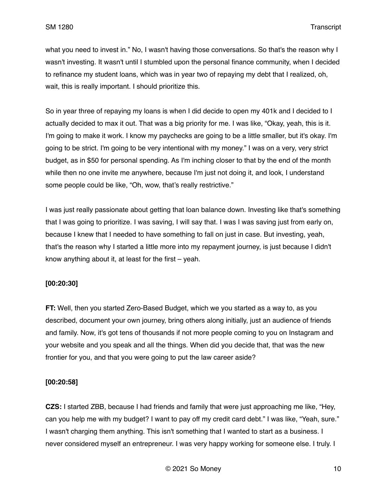what you need to invest in." No, I wasn't having those conversations. So that's the reason why I wasn't investing. It wasn't until I stumbled upon the personal finance community, when I decided to refinance my student loans, which was in year two of repaying my debt that I realized, oh, wait, this is really important. I should prioritize this.

So in year three of repaying my loans is when I did decide to open my 401k and I decided to I actually decided to max it out. That was a big priority for me. I was like, "Okay, yeah, this is it. I'm going to make it work. I know my paychecks are going to be a little smaller, but it's okay. I'm going to be strict. I'm going to be very intentional with my money." I was on a very, very strict budget, as in \$50 for personal spending. As I'm inching closer to that by the end of the month while then no one invite me anywhere, because I'm just not doing it, and look, I understand some people could be like, "Oh, wow, that's really restrictive."

I was just really passionate about getting that loan balance down. Investing like that's something that I was going to prioritize. I was saving, I will say that. I was I was saving just from early on, because I knew that I needed to have something to fall on just in case. But investing, yeah, that's the reason why I started a little more into my repayment journey, is just because I didn't know anything about it, at least for the first – yeah.

### **[00:20:30]**

**FT:** Well, then you started Zero-Based Budget, which we you started as a way to, as you described, document your own journey, bring others along initially, just an audience of friends and family. Now, it's got tens of thousands if not more people coming to you on Instagram and your website and you speak and all the things. When did you decide that, that was the new frontier for you, and that you were going to put the law career aside?

### **[00:20:58]**

**CZS:** I started ZBB, because I had friends and family that were just approaching me like, "Hey, can you help me with my budget? I want to pay off my credit card debt." I was like, "Yeah, sure." I wasn't charging them anything. This isn't something that I wanted to start as a business. I never considered myself an entrepreneur. I was very happy working for someone else. I truly. I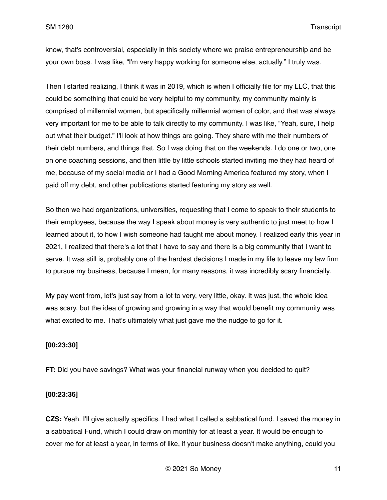know, that's controversial, especially in this society where we praise entrepreneurship and be your own boss. I was like, "I'm very happy working for someone else, actually." I truly was.

Then I started realizing, I think it was in 2019, which is when I officially file for my LLC, that this could be something that could be very helpful to my community, my community mainly is comprised of millennial women, but specifically millennial women of color, and that was always very important for me to be able to talk directly to my community. I was like, "Yeah, sure, I help out what their budget." I'll look at how things are going. They share with me their numbers of their debt numbers, and things that. So I was doing that on the weekends. I do one or two, one on one coaching sessions, and then little by little schools started inviting me they had heard of me, because of my social media or I had a Good Morning America featured my story, when I paid off my debt, and other publications started featuring my story as well.

So then we had organizations, universities, requesting that I come to speak to their students to their employees, because the way I speak about money is very authentic to just meet to how I learned about it, to how I wish someone had taught me about money. I realized early this year in 2021, I realized that there's a lot that I have to say and there is a big community that I want to serve. It was still is, probably one of the hardest decisions I made in my life to leave my law firm to pursue my business, because I mean, for many reasons, it was incredibly scary financially.

My pay went from, let's just say from a lot to very, very little, okay. It was just, the whole idea was scary, but the idea of growing and growing in a way that would benefit my community was what excited to me. That's ultimately what just gave me the nudge to go for it.

#### **[00:23:30]**

**FT:** Did you have savings? What was your financial runway when you decided to quit?

#### **[00:23:36]**

**CZS:** Yeah. I'll give actually specifics. I had what I called a sabbatical fund. I saved the money in a sabbatical Fund, which I could draw on monthly for at least a year. It would be enough to cover me for at least a year, in terms of like, if your business doesn't make anything, could you

© 2021 So Money 11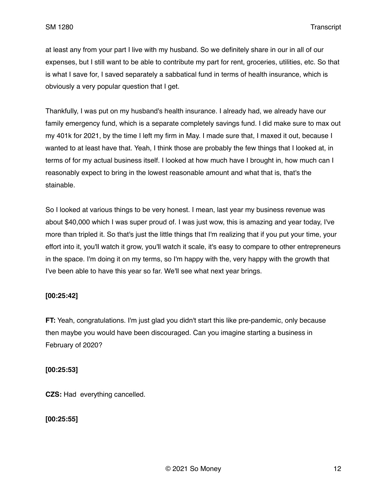at least any from your part I live with my husband. So we definitely share in our in all of our expenses, but I still want to be able to contribute my part for rent, groceries, utilities, etc. So that is what I save for, I saved separately a sabbatical fund in terms of health insurance, which is obviously a very popular question that I get.

Thankfully, I was put on my husband's health insurance. I already had, we already have our family emergency fund, which is a separate completely savings fund. I did make sure to max out my 401k for 2021, by the time I left my firm in May. I made sure that, I maxed it out, because I wanted to at least have that. Yeah, I think those are probably the few things that I looked at, in terms of for my actual business itself. I looked at how much have I brought in, how much can I reasonably expect to bring in the lowest reasonable amount and what that is, that's the stainable.

So I looked at various things to be very honest. I mean, last year my business revenue was about \$40,000 which I was super proud of. I was just wow, this is amazing and year today, I've more than tripled it. So that's just the little things that I'm realizing that if you put your time, your effort into it, you'll watch it grow, you'll watch it scale, it's easy to compare to other entrepreneurs in the space. I'm doing it on my terms, so I'm happy with the, very happy with the growth that I've been able to have this year so far. We'll see what next year brings.

### **[00:25:42]**

**FT:** Yeah, congratulations. I'm just glad you didn't start this like pre-pandemic, only because then maybe you would have been discouraged. Can you imagine starting a business in February of 2020?

### **[00:25:53]**

**CZS:** Had everything cancelled.

**[00:25:55]**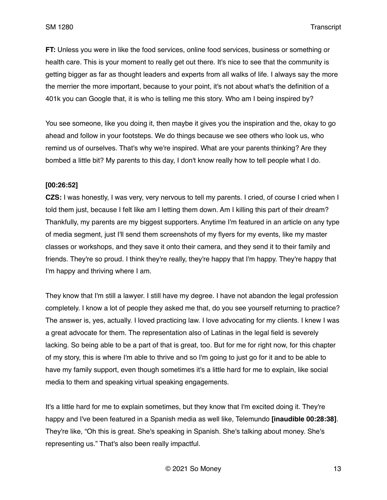**FT:** Unless you were in like the food services, online food services, business or something or health care. This is your moment to really get out there. It's nice to see that the community is getting bigger as far as thought leaders and experts from all walks of life. I always say the more the merrier the more important, because to your point, it's not about what's the definition of a 401k you can Google that, it is who is telling me this story. Who am I being inspired by?

You see someone, like you doing it, then maybe it gives you the inspiration and the, okay to go ahead and follow in your footsteps. We do things because we see others who look us, who remind us of ourselves. That's why we're inspired. What are your parents thinking? Are they bombed a little bit? My parents to this day, I don't know really how to tell people what I do.

#### **[00:26:52]**

**CZS:** I was honestly, I was very, very nervous to tell my parents. I cried, of course I cried when I told them just, because I felt like am I letting them down. Am I killing this part of their dream? Thankfully, my parents are my biggest supporters. Anytime I'm featured in an article on any type of media segment, just I'll send them screenshots of my flyers for my events, like my master classes or workshops, and they save it onto their camera, and they send it to their family and friends. They're so proud. I think they're really, they're happy that I'm happy. They're happy that I'm happy and thriving where I am.

They know that I'm still a lawyer. I still have my degree. I have not abandon the legal profession completely. I know a lot of people they asked me that, do you see yourself returning to practice? The answer is, yes, actually. I loved practicing law. I love advocating for my clients. I knew I was a great advocate for them. The representation also of Latinas in the legal field is severely lacking. So being able to be a part of that is great, too. But for me for right now, for this chapter of my story, this is where I'm able to thrive and so I'm going to just go for it and to be able to have my family support, even though sometimes it's a little hard for me to explain, like social media to them and speaking virtual speaking engagements.

It's a little hard for me to explain sometimes, but they know that I'm excited doing it. They're happy and I've been featured in a Spanish media as well like, Telemundo **[inaudible 00:28:38]**. They're like, "Oh this is great. She's speaking in Spanish. She's talking about money. She's representing us." That's also been really impactful.